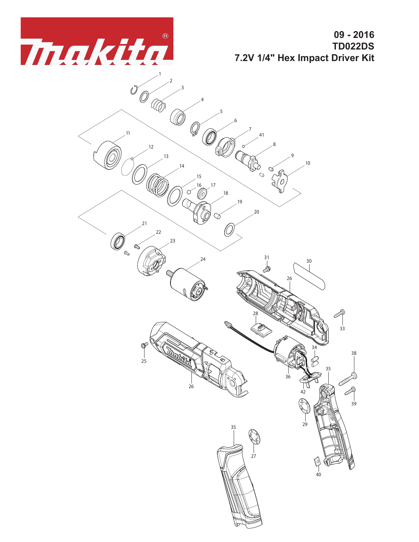

**09 - 2016 TD022DS 7.2V 1/4" Hex Impact Driver Kit**